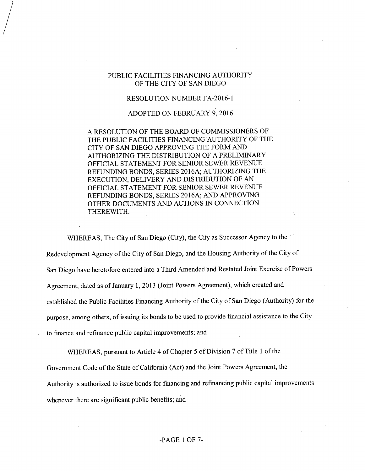# PUBLIC FACILITIES FINANCING AUTHORITY OF THE CITY OF SAN DIEGO

#### RESOLUTION NUMBER FA-2016-1

### ADOPTED ON FEBRUARY 9, 2016

A RESOLUTION OF THE BOARD OF COMMISSIONERS OF THE PUBLIC FACILITIES FINANCING AUTHORITY OF THE CITY OF SAN DIEGO APPROVING THE FORM AND AUTHORIZING THE DISTRIBUTION OF A PRELIMINARY OFFICIAL STATEMENT FOR SENIOR SEWER REVENUE REFUNDING BONDS, SERIES 2016A; AUTHORIZING THE EXECUTION, DELIVERY AND DISTRIBUTION OF AN OFFICIAL STATEMENT FOR SENIOR SEWER REVENUE REFUNDING BONDS, SERIES 2016A; AND APPROVING OTHER DOCUMENTS AND ACTIONS IN CONNECTION THEREWITH.

WHEREAS, The City of San Diego (City), the City as Successor Agency to the Redevelopment Agency of the City of San Diego, and the Housing Authority of the City of San Diego have heretofore entered into a Third Amended and Restated Joint Exercise of Powers Agreement, dated as ofJanuary 1, 2013 (Joint Powers Agreement), which created and established the Public Facilities Financing Authority of the City of San Diego (Authority) for the purpose, among others, of issuing its bonds to be used to provide financial assistance to the City to finance and refinance public capital improvements; and

WHEREAS, pursuant to Article 4 of Chapter 5 of Division 7 of Title 1 of the Government Code of the State of California (Act) and the Joint Powers Agreement, the Authority is authorized to issue bonds for financing and refinancing public capital improvements whenever there are significant public benefits; and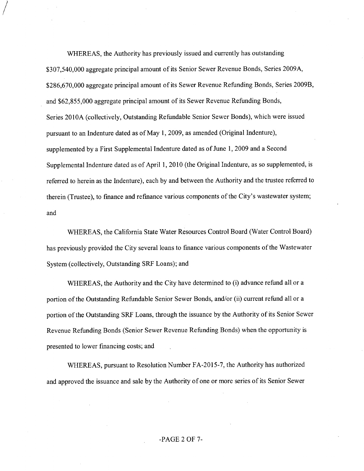WHEREAS, the Authority has previously issued and currently has outstanding \$307,540,000 aggregate principal amount of its Senior Sewer Revenue Bonds, Series 2009A, \$286,670,000 aggregate principal amount of its Sewer Revenue Refunding Bonds, Series 2009B, and \$62,855,000 aggregate principal amount of its Sewer Revenue Refunding Bonds, Series 2010A (collectively. Outstanding Refundable Senior Sewer Bonds), which were issued pursuant to an Indenture dated as ofMay 1, 2009, as amended (Original Indenture), supplemented by a First Supplemental Indenture dated as of June 1, 2009 and a Second Supplemental Indenture dated as of April 1, 2010 (the Original Indenture, as so supplemented, is referred to herein as the Indenture), each by and between the Authority and the trustee referred to therein (Trustee), to finance and refinance various components ofthe City's wastewater system; and

WHEREAS, the California State Water Resources Control Board (Water Control Board) has previously provided the City several loans to finance various components of the Wastewater System (collectively. Outstanding SRF Loans); and

WHEREAS, the Authority and the City have determined to (i) advance refund all or a portion ofthe Outstanding Refundable Senior Sewer Bonds, and/or (ii) current refund all or a portion of the Outstanding SRF Loans, through the issuance by the Authority of its Senior Sewer Revenue Refunding Bonds (Senior Sewer Revenue Refunding Bonds) when the opportunity is presented to lower financing costs; and

WHEREAS, pursuant to Resolution Number FA-2015-7, the Authority has authorized and approved the issuance and sale by the Authority of one or more series of its Senior Sewer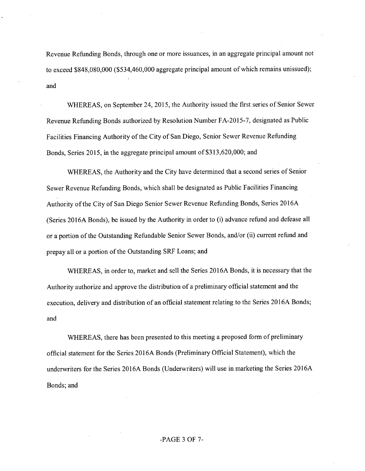Revenue Refunding Bonds, through one or more issuances, in an aggregate principal amount not to exceed \$848,080,000 (\$534,460,000 aggregate principal amount of which remains unissued); and

WHEREAS, on September 24, 2015, the Authority issued the first series of Senior Sewer Revenue Refunding Bonds authorized by Resolution Number FA-2015-7, designated as Public Facilities Financing Authority of the City of San Diego, Senior Sewer Revenue Refunding Bonds, Series 2015, in the aggregate principal amount of \$313,620,000; and

WHEREAS, the Authority and the City have determined that a second series of Senior Sewer Revenue Refunding Bonds, which shall be designated as Public Facilities Financing Authority of the City of San Diego Senior Sewer Revenue Refunding Bonds, Series 2016A (Series 2016A Bonds), be issued by the Authority in order to (i) advance refund and defease all or a portion of the Outstanding Refundable Senior Sewer Bonds, and/or (ii) current refund and prepay all or a portion of the Outstanding SRF Loans; and

WHEREAS, in order to, market and sell the Series 2016A Bonds, it is necessary that the Authority authorize and approve the distribution of a preliminary official statement and the execution, delivery and distribution of an official statement relating to the Series 2016A Bonds; and

WHEREAS, there has been presented to this meeting a proposed form of preliminary official statement for the Series 2016A Bonds (Preliminary Official Statement), which the underwriters for the Series 2016A Bonds (Underwriters) will use in marketing the Series 2016A Bonds; and

# -PAGE 3 OF 7-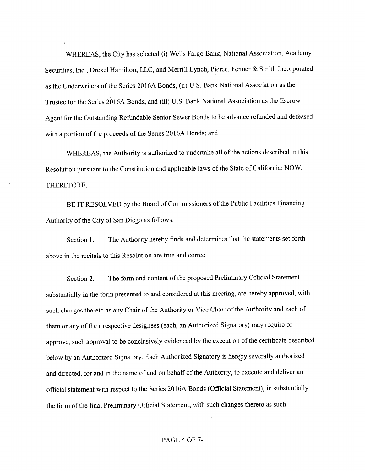WHEREAS, the City has selected (i) Wells Fargo Bank, National Association, Academy Securities, Inc., Drexel Hamilton, LLC, and Merrill Lynch, Pierce, Fenner & Smith Incorporated as the Underwriters of the Series 2016A Bonds, (ii) U.S. Bank National Association as the Trustee for the Series 2016A Bonds, and (iii) U.S. Bank National Association as the Escrow Agent for the Outstanding Refundable Senior Sewer Bonds to be advance refunded and defeased with a portion of the proceeds of the Series 2016A Bonds; and

WHEREAS, the Authority is authorized to undertake all of the actions described in this Resolution pursuant to the Constitution and applicable laws of the State of California; NOW, THEREFORE,

BE IT RESOLVED by the Board of Commissioners of the Public Facilities Financing Authority of the City of San Diego as follows:

Section 1. The Authority hereby finds and determines that the statements set forth above in the recitals to this Resolution are true and correct.

Section 2. The form and content of the proposed Preliminary Official Statement substantially in the form presented to and considered at this meeting, are hereby approved, with such changes thereto as any Chair of the Authority or Vice Chair of the Authority and each of them or any of their respective designees (each, an Authorized Signatory) may require or approve, such approval to be conclusively evidenced by the execution of the certificate described below by an Authorized Signatory. Each Authorized Signatory is hereby severally authorized and directed, for and in the name of and on behalf of the Authority, to execute and deliver an official statement with respect to the Series 2016A Bonds (Official Statement), in substantially the form of the final Preliminary Official Statement, with such changes thereto as such

### -PAGE 4 OF 7-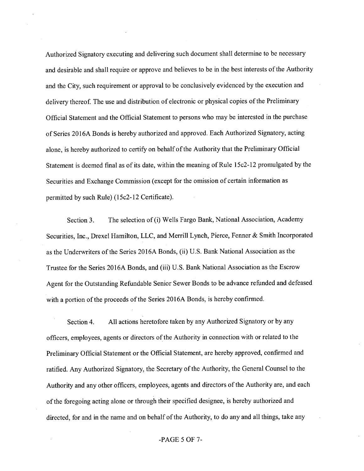Authorized Signatory executing and delivering such document shall determine to be necessary and desirable and shall require or approve and believes to be in the best interests of the Authority and the City, such requirement or approval to be conclusively evidenced by the execution and delivery thereof. The use and distribution of electronic or physical copies of the Preliminary Official Statement and the Official Statement to persons who may be interested in the purchase of Series 2016A Bonds is hereby authorized and approved. Each Authorized Signatory, acting alone, is hereby authorized to certify on behalf of the Authority that the Preliminary Official Statement is deemed final as of its date, within the meaning of Rule  $15c2-12$  promulgated by the Securities and Exchange Commission (except for the omission of certain information as permitted by such Rule) (15c2-12 Certificate).

Section 3. The selection of (i) Wells Fargo Bank, National Association, Academy Securities, Inc., Drexel Hamilton, LLC, and Merrill Lynch, Pierce, Fenner & Smith Incorporated as the Underwriters of the Series 2016A Bonds, (ii) U.S. Bank National Association as the Trustee for the Series 2016A Bonds, and (iii) U.S. Bank National Association as the Escrow Agent for the Outstanding Refundable Senior Sewer Bonds to be advance refianded and defeased with a portion of the proceeds of the Series 2016A Bonds, is hereby confirmed.

Section 4. All actions heretofore taken by any Authorized Signatory or by any officers, employees, agents or directors of the Authority in connection with or related to the Preliminary Official Statement or the Official Statement, are hereby approved, confirmed and ratified. Any Authorized Signatory, the Secretary of the Authority, the General Counsel to the Authority and any other officers, employees, agents and directors ofthe Authority are, and each ofthe foregoing acting alone or through their specified designee, is hereby authorized and directed, for and in the name and on behalf of the Authority, to do any and all things, take any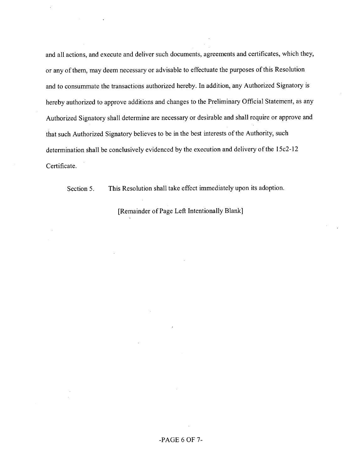and all actions, and execute and deliver such documents, agreements and eertificates, which they, or any of them, may deem necessary or advisable to effectuate the purposes of this Resolution and to consummate the transactions authorized hereby. In addition, any Authorized Signatory is hereby authorized to approve additions and ehanges to the Preliminary Official Statement, as any Authorized Signatory shall determine are necessary or desirable and shall require or approve and that such Authorized Signatory believes to be in the best interests of the Authority, such determination shall be conclusively evidenced by the execution and delivery of the 15c2-12 Certificate.

Section 5. This Resolution shall take effect immediately upon its adoption.

[Remainder of Page Left Intentionally Blank]